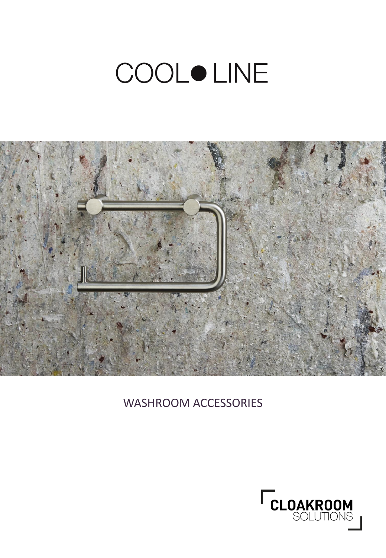## **COOLOLINE**



## WASHROOM ACCESSORIES

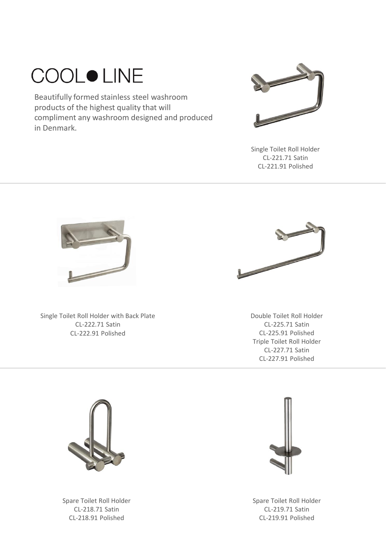## **COOLOLINE**

Beautifully formed stainless steel washroom products of the highest quality that will compliment any washroom designed and produced in Denmark.



Single Toilet Roll Holder CL-221.71 Satin CL-221.91 Polished



Single Toilet Roll Holder with Back Plate CL-222.71 Satin CL-222.91 Polished



Double Toilet Roll Holder CL-225.71 Satin CL-225.91 Polished Triple Toilet Roll Holder CL-227.71 Satin CL-227.91 Polished



Spare Toilet Roll Holder CL-218.71 Satin CL-218.91 Polished



Spare Toilet Roll Holder CL-219.71 Satin CL-219.91 Polished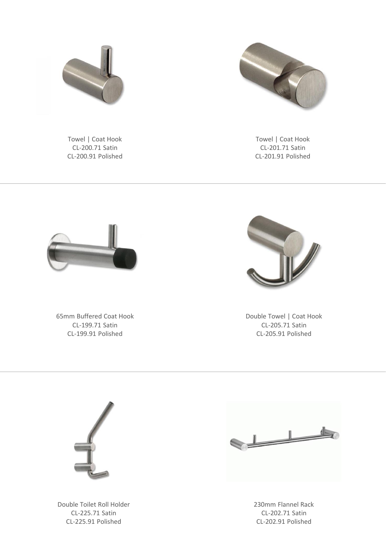

Towel | Coat Hook CL-200.71 Satin CL-200.91 Polished



Towel | Coat Hook CL-201.71 Satin CL-201.91 Polished



65mm Buffered Coat Hook CL-199.71 Satin CL-199.91 Polished



Double Towel | Coat Hook CL-205.71 Satin CL-205.91 Polished



Double Toilet Roll Holder CL-225.71 Satin CL-225.91 Polished



230mm Flannel Rack CL-202.71 Satin CL-202.91 Polished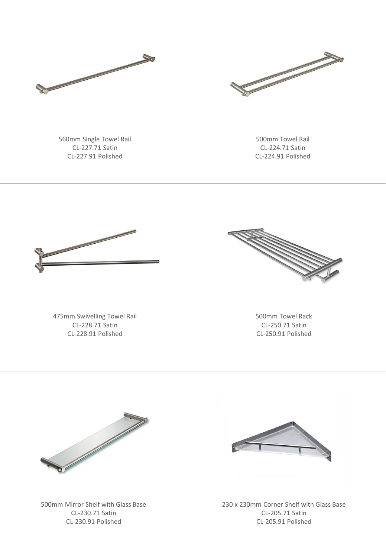



560mm Single Towel Rail CL-227.71 Satin CL-227.91 Polished

500mm Towel Rail CL-224.71 Satin CL-224.91 Polished



475mm Swivelling Towel Rail CL-228.71 Satin CL-228.91 Polished



500mm Towel Rack CL-250.71 Satin CL-250.91 Polished



500mm Mirror Shelf with Glass Base CL-230.71 Satin CL-230.91 Polished



230 x 230mm Corner Shelf with Glass Base CL-205.71 Satin CL-205.91 Polished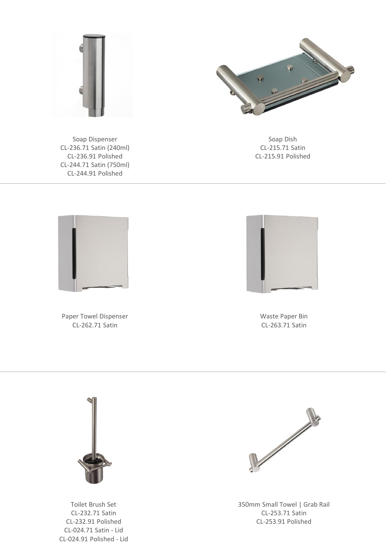

Soap Dish CL-215.71 Satin CL-215.91 Polished



Soap Dispenser CL-236.71 Satin (240ml) CL-236.91 Polished CL-244.71 Satin (750ml) CL-244.91 Polished



Paper Towel Dispenser CL-262.71 Satin



Waste Paper Bin CL-263.71 Satin



Toilet Brush Set CL-232.71 Satin CL-232.91 Polished CL-024.71 Satin - Lid CL-024.91 Polished - Lid



350mm Small Towel | Grab Rail CL-253.71 Satin CL-253.91 Polished